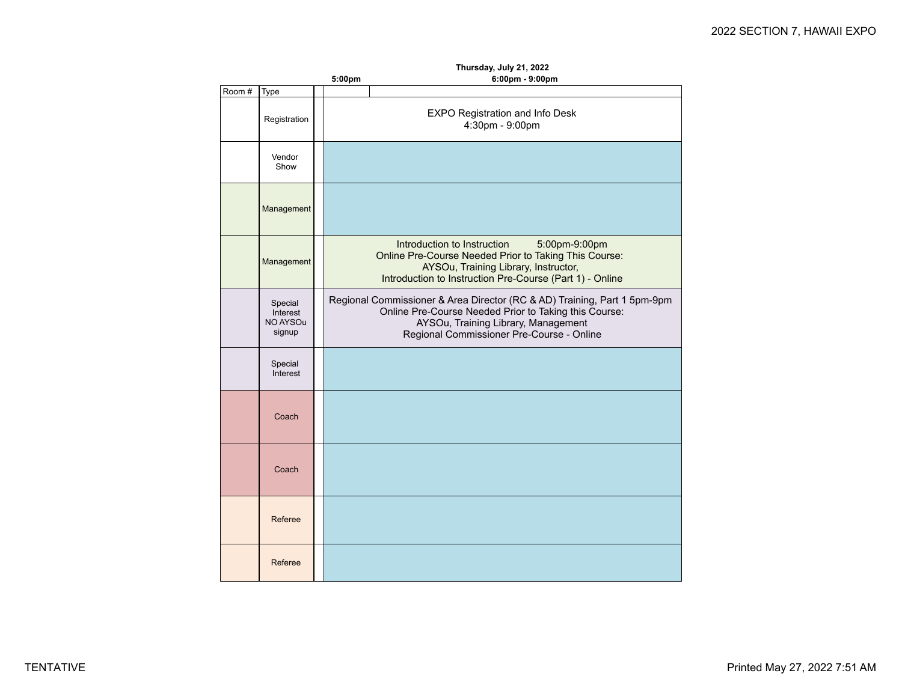|       | Thursday, July 21, 2022                   |  |                                                                                                                                                                                                                       |  |  |  |
|-------|-------------------------------------------|--|-----------------------------------------------------------------------------------------------------------------------------------------------------------------------------------------------------------------------|--|--|--|
|       |                                           |  | 6:00pm - 9:00pm<br>5:00pm                                                                                                                                                                                             |  |  |  |
| Room# | Type                                      |  |                                                                                                                                                                                                                       |  |  |  |
|       | Registration                              |  | EXPO Registration and Info Desk<br>4:30pm - 9:00pm                                                                                                                                                                    |  |  |  |
|       | Vendor<br>Show                            |  |                                                                                                                                                                                                                       |  |  |  |
|       | Management                                |  |                                                                                                                                                                                                                       |  |  |  |
|       | Management                                |  | Introduction to Instruction<br>5:00pm-9:00pm<br>Online Pre-Course Needed Prior to Taking This Course:<br>AYSOu, Training Library, Instructor,<br>Introduction to Instruction Pre-Course (Part 1) - Online             |  |  |  |
|       | Special<br>Interest<br>NO AYSOu<br>signup |  | Regional Commissioner & Area Director (RC & AD) Training, Part 1 5pm-9pm<br>Online Pre-Course Needed Prior to Taking this Course:<br>AYSOu, Training Library, Management<br>Regional Commissioner Pre-Course - Online |  |  |  |
|       | Special<br>Interest                       |  |                                                                                                                                                                                                                       |  |  |  |
|       | Coach                                     |  |                                                                                                                                                                                                                       |  |  |  |
|       | Coach                                     |  |                                                                                                                                                                                                                       |  |  |  |
|       | Referee                                   |  |                                                                                                                                                                                                                       |  |  |  |
|       | Referee                                   |  |                                                                                                                                                                                                                       |  |  |  |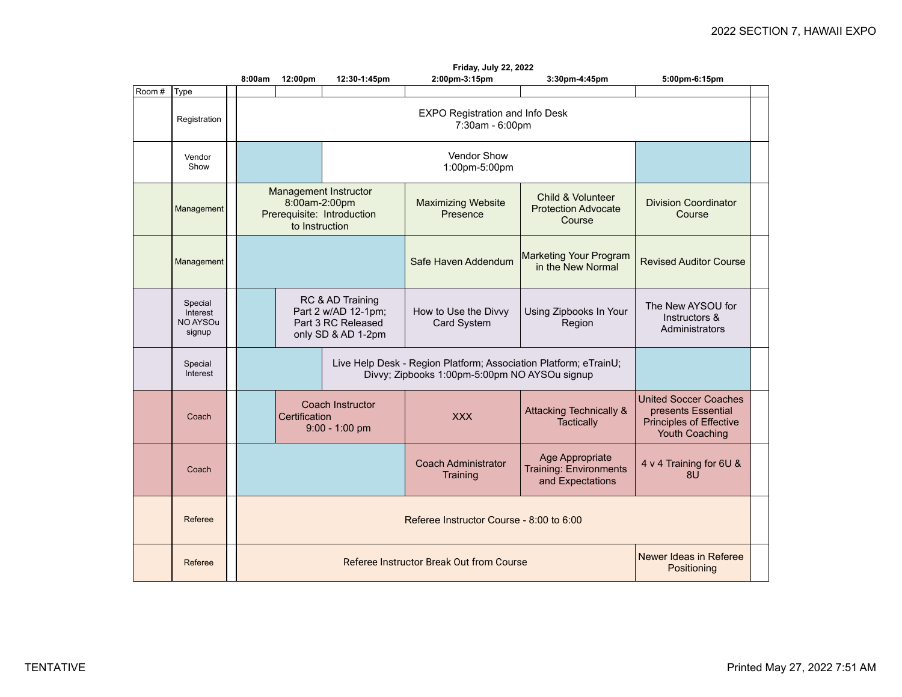|       |                                           | Friday, July 22, 2022                                                                  |                                                                                     |                                        |                                                                                                                   |                                                                                                        |                                                      |  |
|-------|-------------------------------------------|----------------------------------------------------------------------------------------|-------------------------------------------------------------------------------------|----------------------------------------|-------------------------------------------------------------------------------------------------------------------|--------------------------------------------------------------------------------------------------------|------------------------------------------------------|--|
| Room# | Type                                      | 8:00am                                                                                 | 12:00pm                                                                             | 12:30-1:45pm                           | 2:00pm-3:15pm                                                                                                     | 3:30pm-4:45pm                                                                                          | 5:00pm-6:15pm                                        |  |
|       | Registration                              | <b>EXPO Registration and Info Desk</b><br>7:30am - 6:00pm                              |                                                                                     |                                        |                                                                                                                   |                                                                                                        |                                                      |  |
|       | Vendor<br>Show                            |                                                                                        |                                                                                     | Vendor Show<br>1:00pm-5:00pm           |                                                                                                                   |                                                                                                        |                                                      |  |
|       | Management                                | Management Instructor<br>8:00am-2:00pm<br>Prerequisite: Introduction<br>to Instruction |                                                                                     |                                        | <b>Maximizing Website</b><br>Presence                                                                             | Child & Volunteer<br><b>Protection Advocate</b><br>Course                                              | Division Coordinator<br>Course                       |  |
|       | Management                                |                                                                                        |                                                                                     | Safe Haven Addendum                    | <b>Marketing Your Program</b><br>in the New Normal                                                                | <b>Revised Auditor Course</b>                                                                          |                                                      |  |
|       | Special<br>Interest<br>NO AYSOu<br>signup |                                                                                        | RC & AD Training<br>Part 2 w/AD 12-1pm;<br>Part 3 RC Released<br>only SD & AD 1-2pm |                                        | How to Use the Divvy<br>Card System                                                                               | Using Zipbooks In Your<br>Region                                                                       | The New AYSOU for<br>Instructors &<br>Administrators |  |
|       | Special<br>Interest                       |                                                                                        |                                                                                     |                                        | Live Help Desk - Region Platform; Association Platform; eTrainU;<br>Divvy; Zipbooks 1:00pm-5:00pm NO AYSOu signup |                                                                                                        |                                                      |  |
|       | Coach                                     | Coach Instructor<br>Certification<br>$9:00 - 1:00$ pm                                  |                                                                                     | <b>XXX</b>                             | <b>Attacking Technically &amp;</b><br><b>Tactically</b>                                                           | <b>United Soccer Coaches</b><br>presents Essential<br><b>Principles of Effective</b><br>Youth Coaching |                                                      |  |
|       | Coach                                     |                                                                                        |                                                                                     | <b>Coach Administrator</b><br>Training | Age Appropriate<br>Training: Environments<br>and Expectations                                                     | 4 v 4 Training for 6U &<br>8U                                                                          |                                                      |  |
|       | Referee                                   | Referee Instructor Course - 8:00 to 6:00                                               |                                                                                     |                                        |                                                                                                                   |                                                                                                        |                                                      |  |
|       | Referee                                   | Newer Ideas in Referee<br>Referee Instructor Break Out from Course<br>Positioning      |                                                                                     |                                        |                                                                                                                   |                                                                                                        |                                                      |  |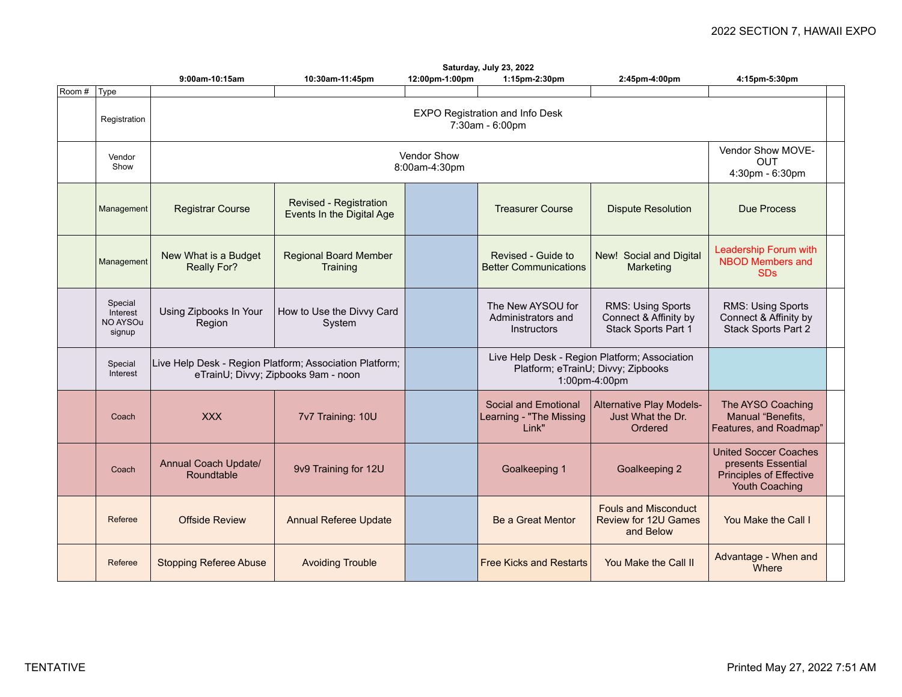|        | Saturday, July 23, 2022                   |                                            |                                                                                                |                              |                                                          |                                                                                                      |                                                                                                               |  |
|--------|-------------------------------------------|--------------------------------------------|------------------------------------------------------------------------------------------------|------------------------------|----------------------------------------------------------|------------------------------------------------------------------------------------------------------|---------------------------------------------------------------------------------------------------------------|--|
|        |                                           | 9:00am-10:15am                             | 10:30am-11:45pm                                                                                | 12:00pm-1:00pm               | 1:15pm-2:30pm                                            | 2:45pm-4:00pm                                                                                        | 4:15pm-5:30pm                                                                                                 |  |
| Room # | Type                                      |                                            |                                                                                                |                              |                                                          |                                                                                                      |                                                                                                               |  |
|        | Registration                              |                                            |                                                                                                |                              | EXPO Registration and Info Desk<br>7:30am - 6:00pm       |                                                                                                      |                                                                                                               |  |
|        | Vendor<br>Show                            |                                            |                                                                                                | Vendor Show<br>8:00am-4:30pm |                                                          |                                                                                                      | Vendor Show MOVE-<br><b>OUT</b><br>4:30pm - 6:30pm                                                            |  |
|        | Management                                | <b>Registrar Course</b>                    | Revised - Registration<br>Events In the Digital Age                                            |                              | <b>Treasurer Course</b>                                  | <b>Dispute Resolution</b>                                                                            | <b>Due Process</b>                                                                                            |  |
|        | Management                                | New What is a Budget<br><b>Really For?</b> | <b>Regional Board Member</b><br>Training                                                       |                              | Revised - Guide to<br><b>Better Communications</b>       | New! Social and Digital<br>Marketing                                                                 | Leadership Forum with<br><b>NBOD Members and</b><br><b>SDs</b>                                                |  |
|        | Special<br>Interest<br>NO AYSOu<br>signup | Using Zipbooks In Your<br>Region           | How to Use the Divvy Card<br>System                                                            |                              | The New AYSOU for<br>Administrators and<br>Instructors   | RMS: Using Sports<br>Connect & Affinity by<br>Stack Sports Part 1                                    | RMS: Using Sports<br>Connect & Affinity by<br>Stack Sports Part 2                                             |  |
|        | Special<br>Interest                       |                                            | Live Help Desk - Region Platform; Association Platform;<br>eTrainU; Divvy; Zipbooks 9am - noon |                              |                                                          | Live Help Desk - Region Platform; Association<br>Platform; eTrainU; Divvy; Zipbooks<br>1:00pm-4:00pm |                                                                                                               |  |
|        | Coach                                     | <b>XXX</b>                                 | 7v7 Training: 10U                                                                              |                              | Social and Emotional<br>Learning - "The Missing<br>Link" | Alternative Play Models-<br>Just What the Dr.<br>Ordered                                             | The AYSO Coaching<br>Manual "Benefits,<br>Features, and Roadmap"                                              |  |
|        | Coach                                     | Annual Coach Update/<br>Roundtable         | 9v9 Training for 12U                                                                           |                              | Goalkeeping 1                                            | Goalkeeping 2                                                                                        | <b>United Soccer Coaches</b><br>presents Essential<br><b>Principles of Effective</b><br><b>Youth Coaching</b> |  |
|        | Referee                                   | <b>Offside Review</b>                      | <b>Annual Referee Update</b>                                                                   |                              | Be a Great Mentor                                        | <b>Fouls and Misconduct</b><br><b>Review for 12U Games</b><br>and Below                              | You Make the Call I                                                                                           |  |
|        | Referee                                   | <b>Stopping Referee Abuse</b>              | <b>Avoiding Trouble</b>                                                                        |                              | <b>Free Kicks and Restarts</b>                           | You Make the Call II                                                                                 | Advantage - When and<br>Where                                                                                 |  |